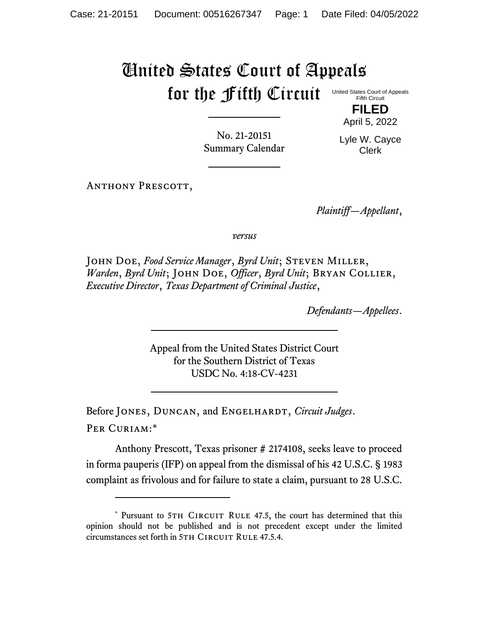## United States Court of Appeals for the Fifth Circuit

United States Court of Appeals Fifth Circuit **FILED**

No. 21-20151 Summary Calendar Lyle W. Cayce Clerk

April 5, 2022

ANTHONY PRESCOTT,

*Plaintiff—Appellant*,

*versus*

John Doe, *Food Service Manager*, *Byrd Unit*; Steven Miller, *Warden*, *Byrd Unit*; John Doe, *Officer*, *Byrd Unit*; Bryan Collier, *Executive Director*, *Texas Department of Criminal Justice*,

*Defendants—Appellees*.

Appeal from the United States District Court for the Southern District of Texas USDC No. 4:18-CV-4231

Before JONES, DUNCAN, and ENGELHARDT, *Circuit Judges*. Per Curiam:\*

Anthony Prescott, Texas prisoner # 2174108, seeks leave to proceed in forma pauperis (IFP) on appeal from the dismissal of his 42 U.S.C. § 1983 complaint as frivolous and for failure to state a claim, pursuant to 28 U.S.C.

<sup>\*</sup> Pursuant to 5TH CIRCUIT RULE 47.5, the court has determined that this opinion should not be published and is not precedent except under the limited circumstances set forth in 5TH CIRCUIT RULE 47.5.4.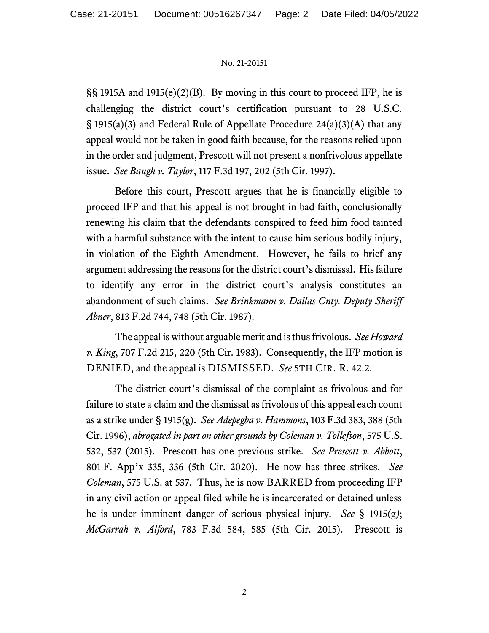## No. 21-20151

§§ 1915A and 1915(e)(2)(B). By moving in this court to proceed IFP, he is challenging the district court's certification pursuant to 28 U.S.C. § 1915(a)(3) and Federal Rule of Appellate Procedure 24(a)(3)(A) that any appeal would not be taken in good faith because, for the reasons relied upon in the order and judgment, Prescott will not present a nonfrivolous appellate issue. *See Baugh v. Taylor*, 117 F.3d 197, 202 (5th Cir. 1997).

Before this court, Prescott argues that he is financially eligible to proceed IFP and that his appeal is not brought in bad faith, conclusionally renewing his claim that the defendants conspired to feed him food tainted with a harmful substance with the intent to cause him serious bodily injury, in violation of the Eighth Amendment. However, he fails to brief any argument addressing the reasons for the district court's dismissal. His failure to identify any error in the district court's analysis constitutes an abandonment of such claims. *See Brinkmann v. Dallas Cnty. Deputy Sheriff Abner*, 813 F.2d 744, 748 (5th Cir. 1987).

The appeal is without arguable merit and is thus frivolous. *See Howard v. King*, 707 F.2d 215, 220 (5th Cir. 1983). Consequently, the IFP motion is DENIED, and the appeal is DISMISSED. *See* 5TH CIR. R. 42.2.

The district court's dismissal of the complaint as frivolous and for failure to state a claim and the dismissal as frivolous of this appeal each count as a strike under § 1915(g). *See Adepegba v. Hammons*, 103 F.3d 383, 388 (5th Cir. 1996), *abrogated in part on other grounds by Coleman v. Tollefson*, 575 U.S. 532, 537 (2015). Prescott has one previous strike. *See Prescott v. Abbott*, 801 F. App'x 335, 336 (5th Cir. 2020). He now has three strikes. *See Coleman*, 575 U.S. at 537. Thus, he is now BARRED from proceeding IFP in any civil action or appeal filed while he is incarcerated or detained unless he is under imminent danger of serious physical injury. *See* § 1915(g*)*; *McGarrah v. Alford*, 783 F.3d 584, 585 (5th Cir. 2015). Prescott is